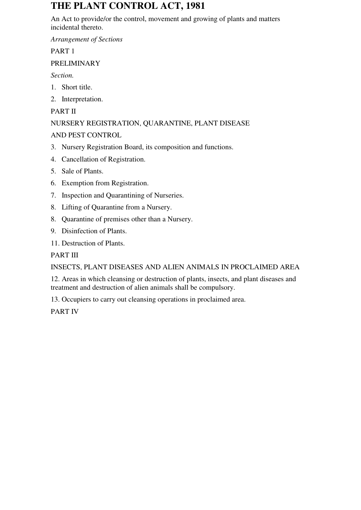# **THE PLANT CONTROL ACT, 1981**

An Act to provide/or the control, movement and growing of plants and matters incidental thereto.

*Arrangement of Sections*

PART 1

## PRELIMINARY

*Section.* 

- 1. Short title.
- 2. Interpretation.

## PART II

## NURSERY REGISTRATION, QUARANTINE, PLANT DISEASE

## AND PEST CONTROL

- 3. Nursery Registration Board, its composition and functions.
- 4. Cancellation of Registration.
- 5. Sale of Plants.
- 6. Exemption from Registration.
- 7. Inspection and Quarantining of Nurseries.
- 8. Lifting of Quarantine from a Nursery.
- 8. Quarantine of premises other than a Nursery.
- 9. Disinfection of Plants.
- 11. Destruction of Plants.

## PART III

## INSECTS, PLANT DISEASES AND ALIEN ANIMALS IN PROCLAIMED AREA

12. Areas in which cleansing or destruction of plants, insects, and plant diseases and treatment and destruction of alien animals shall be compulsory.

13. Occupiers to carry out cleansing operations in proclaimed area.

PART IV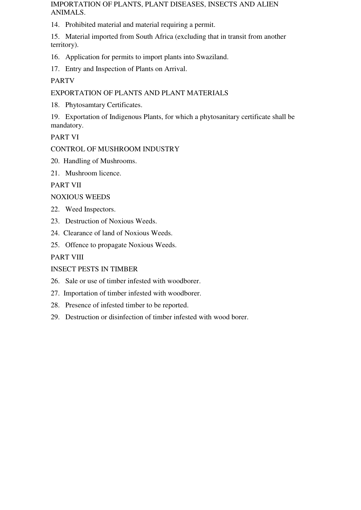IMPORTATION OF PLANTS, PLANT DISEASES, INSECTS AND ALIEN ANIMALS.

14. Prohibited material and material requiring a permit.

15. Material imported from South Africa (excluding that in transit from another territory).

16. Application for permits to import plants into Swaziland.

17. Entry and Inspection of Plants on Arrival.

PARTV

EXPORTATION OF PLANTS AND PLANT MATERIALS

18. Phytosamtary Certificates.

19. Exportation of Indigenous Plants, for which a phytosanitary certificate shall be mandatory.

PART VI

CONTROL OF MUSHROOM INDUSTRY

20. Handling of Mushrooms.

21. Mushroom licence.

PART VII

NOXIOUS WEEDS

22. Weed Inspectors.

23. Destruction of Noxious Weeds.

24. Clearance of land of Noxious Weeds.

25. Offence to propagate Noxious Weeds.

PART VIII

INSECT PESTS IN TIMBER

26. Sale or use of timber infested with woodborer.

27. Importation of timber infested with woodborer.

28. Presence of infested timber to be reported.

29. Destruction or disinfection of timber infested with wood borer.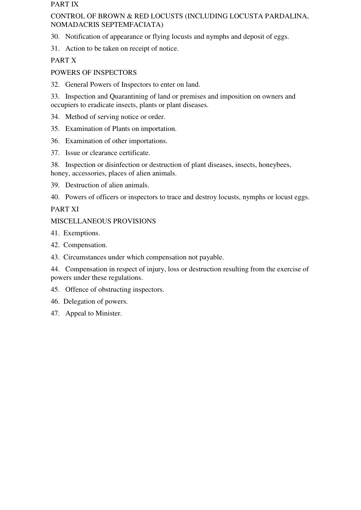#### PART IX

### CONTROL OF BROWN & RED LOCUSTS (INCLUDING LOCUSTA PARDALINA, NOMADACRIS SEPTEMFACIATA)

30. Notification of appearance or flying locusts and nymphs and deposit of eggs.

31. Action to be taken on receipt of notice.

PART X

## POWERS OF INSPECTORS

32. General Powers of Inspectors to enter on land.

33. Inspection and Quarantining of land or premises and imposition on owners and occupiers to eradicate insects, plants or plant diseases.

- 34. Method of serving notice or order.
- 35. Examination of Plants on importation.
- 36. Examination of other importations.
- 37. Issue or clearance certificate.

38. Inspection or disinfection or destruction of plant diseases, insects, honeybees, honey, accessories, places of alien animals.

- 39. Destruction of alien animals.
- 40. Powers of officers or inspectors to trace and destroy locusts, nymphs or locust eggs.

## PART XI

## MISCELLANEOUS PROVISIONS

- 41. Exemptions.
- 42. Compensation.
- 43. Circumstances under which compensation not payable.

44. Compensation in respect of injury, loss or destruction resulting from the exercise of powers under these regulations.

- 45. Offence of obstructing inspectors.
- 46. Delegation of powers.
- 47. Appeal to Minister.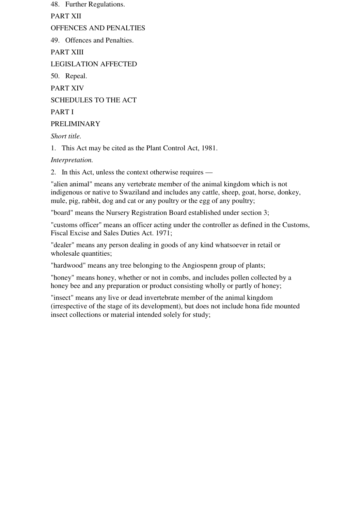48. Further Regulations.

PART XII

OFFENCES AND PENALTIES

49. Offences and Penalties.

PART XIII

LEGISLATION AFFECTED

50. Repeal.

PART XIV

SCHEDULES TO THE ACT

PART I

PRELIMINARY

*Short title.* 

1. This Act may be cited as the Plant Control Act, 1981.

*Interpretation.*

2. In this Act, unless the context otherwise requires —

"alien animal" means any vertebrate member of the animal kingdom which is not indigenous or native to Swaziland and includes any cattle, sheep, goat, horse, donkey, mule, pig, rabbit, dog and cat or any poultry or the egg of any poultry;

"board" means the Nursery Registration Board established under section 3;

"customs officer" means an officer acting under the controller as defined in the Customs, Fiscal Excise and Sales Duties Act. 1971;

"dealer" means any person dealing in goods of any kind whatsoever in retail or wholesale quantities;

"hardwood" means any tree belonging to the Angiospenn group of plants;

"honey" means honey, whether or not in combs, and includes pollen collected by a honey bee and any preparation or product consisting wholly or partly of honey;

"insect" means any live or dead invertebrate member of the animal kingdom (irrespective of the stage of its development), but does not include hona fide mounted insect collections or material intended solely for study;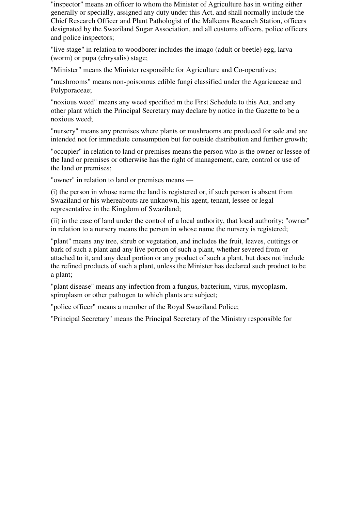"inspector" means an officer to whom the Minister of Agriculture has in writing either generally or specially, assigned any duty under this Act, and shall normally include the Chief Research Officer and Plant Pathologist of the Malkems Research Station, officers designated by the Swaziland Sugar Association, and all customs officers, police officers and police inspectors;

"live stage" in relation to woodborer includes the imago (adult or beetle) egg, larva (worm) or pupa (chrysalis) stage;

"Minister" means the Minister responsible for Agriculture and Co-operatives;

"mushrooms" means non-poisonous edible fungi classified under the Agaricaceae and Polyporaceae;

"noxious weed" means any weed specified m the First Schedule to this Act, and any other plant which the Principal Secretary may declare by notice in the Gazette to be a noxious weed;

"nursery" means any premises where plants or mushrooms are produced for sale and are intended not for immediate consumption but for outside distribution and further growth;

"occupier" in relation to land or premises means the person who is the owner or lessee of the land or premises or otherwise has the right of management, care, control or use of the land or premises;

"owner" in relation to land or premises means —

(i) the person in whose name the land is registered or, if such person is absent from Swaziland or his whereabouts are unknown, his agent, tenant, lessee or legal representative in the Kingdom of Swaziland;

(ii) in the case of land under the control of a local authority, that local authority; "owner" in relation to a nursery means the person in whose name the nursery is registered;

"plant" means any tree, shrub or vegetation, and includes the fruit, leaves, cuttings or bark of such a plant and any live portion of such a plant, whether severed from or attached to it, and any dead portion or any product of such a plant, but does not include the refined products of such a plant, unless the Minister has declared such product to be a plant;

"plant disease" means any infection from a fungus, bacterium, virus, mycoplasm, spiroplasm or other pathogen to which plants are subject;

"police officer" means a member of the Royal Swaziland Police;

"Principal Secretary" means the Principal Secretary of the Ministry responsible for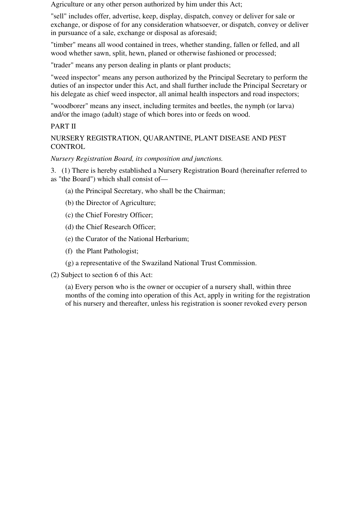Agriculture or any other person authorized by him under this Act;

"sell" includes offer, advertise, keep, display, dispatch, convey or deliver for sale or exchange, or dispose of for any consideration whatsoever, or dispatch, convey or deliver in pursuance of a sale, exchange or disposal as aforesaid;

"timber" means all wood contained in trees, whether standing, fallen or felled, and all wood whether sawn, split, hewn, planed or otherwise fashioned or processed;

"trader" means any person dealing in plants or plant products;

"weed inspector" means any person authorized by the Principal Secretary to perform the duties of an inspector under this Act, and shall further include the Principal Secretary or his delegate as chief weed inspector, all animal health inspectors and road inspectors;

"woodborer" means any insect, including termites and beetles, the nymph (or larva) and/or the imago (adult) stage of which bores into or feeds on wood.

#### PART II

NURSERY REGISTRATION, QUARANTINE, PLANT DISEASE AND PEST **CONTROL** 

*Nursery Registration Board, its composition and junctions.*

3. (1) There is hereby established a Nursery Registration Board (hereinafter referred to as "the Board") which shall consist of—

- (a) the Principal Secretary, who shall be the Chairman;
- (b) the Director of Agriculture;
- (c) the Chief Forestry Officer;
- (d) the Chief Research Officer;
- (e) the Curator of the National Herbarium;
- (f) the Plant Pathologist;
- (g) a representative of the Swaziland National Trust Commission.
- (2) Subject to section 6 of this Act:

(a) Every person who is the owner or occupier of a nursery shall, within three months of the coming into operation of this Act, apply in writing for the registration of his nursery and thereafter, unless his registration is sooner revoked every person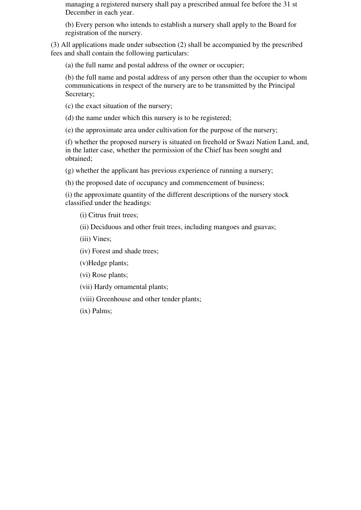managing a registered nursery shall pay a prescribed annual fee before the 31 st December in each year.

(b) Every person who intends to establish a nursery shall apply to the Board for registration of the nursery.

(3) All applications made under subsection (2) shall be accompanied by the prescribed fees and shall contain the following particulars:

(a) the full name and postal address of the owner or occupier;

(b) the full name and postal address of any person other than the occupier to whom communications in respect of the nursery are to be transmitted by the Principal Secretary;

(c) the exact situation of the nursery;

(d) the name under which this nursery is to be registered;

(e) the approximate area under cultivation for the purpose of the nursery;

(f) whether the proposed nursery is situated on freehold or Swazi Nation Land, and, in the latter case, whether the permission of the Chief has been sought and obtained;

(g) whether the applicant has previous experience of running a nursery;

(h) the proposed date of occupancy and commencement of business;

(i) the approximate quantity of the different descriptions of the nursery stock classified under the headings:

(i) Citrus fruit trees;

(ii) Deciduous and other fruit trees, including mangoes and guavas;

(iii) Vines;

(iv) Forest and shade trees;

(v)Hedge plants;

(vi) Rose plants;

(vii) Hardy ornamental plants;

(viii) Greenhouse and other tender plants;

(ix) Palms;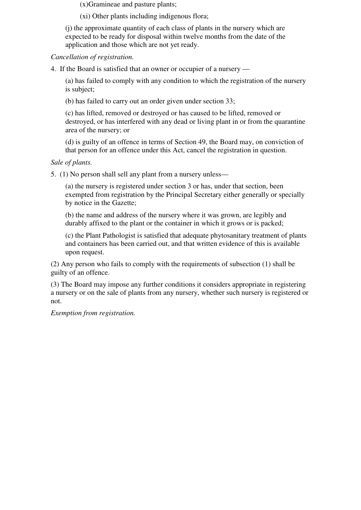(x)Gramineae and pasture plants;

(xi) Other plants including indigenous flora;

(j) the approximate quantity of each class of plants in the nursery which are expected to be ready for disposal within twelve months from the date of the application and those which are not yet ready.

*Cancellation of registration.* 

4. If the Board is satisfied that an owner or occupier of a nursery —

(a) has failed to comply with any condition to which the registration of the nursery is subject;

(b) has failed to carry out an order given under section 33;

(c) has lifted, removed or destroyed or has caused to be lifted, removed or destroyed, or has interfered with any dead or living plant in or from the quarantine area of the nursery; or

(d) is guilty of an offence in terms of Section 49, the Board may, on conviction of that person for an offence under this Act, cancel the registration in question.

#### *Sale of plants.*

5. (1) No person shall sell any plant from a nursery unless—

(a) the nursery is registered under section 3 or has, under that section, been exempted from registration by the Principal Secretary either generally or specially by notice in the Gazette;

(b) the name and address of the nursery where it was grown, are legibly and durably affixed to the plant or the container in which it grows or is packed;

(c) the Plant Pathologist is satisfied that adequate phytosanitary treatment of plants and containers has been carried out, and that written evidence of this is available upon request.

(2) Any person who fails to comply with the requirements of subsection (1) shall be guilty of an offence.

(3) The Board may impose any further conditions it considers appropriate in registering a nursery or on the sale of plants from any nursery, whether such nursery is registered or not.

*Exemption from registration.*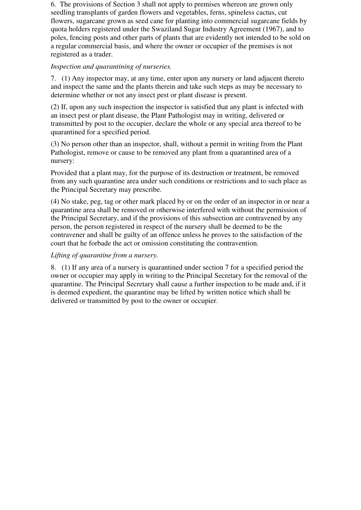6. The provisions of Section 3 shall not apply to premises whereon are grown only seedling transplants of garden flowers and vegetables, ferns, spineless cactus, cut flowers, sugarcane grown as seed cane for planting into commercial sugarcane fields by quota holders registered under the Swaziland Sugar Industry Agreement (1967), and to poles, fencing posts and other parts of plants that are evidently not intended to be sold on a regular commercial basis, and where the owner or occupier of the premises is not registered as a trader.

#### *Inspection and quarantining of nurseries.*

7. (1) Any inspector may, at any time, enter upon any nursery or land adjacent thereto and inspect the same and the plants therein and take such steps as may be necessary to determine whether or not any insect pest or plant disease is present.

(2) If, upon any such inspection the inspector is satisfied that any plant is infected with an insect pest or plant disease, the Plant Pathologist may in writing, delivered or transmitted by post to the occupier, declare the whole or any special area thereof to be quarantined for a specified period.

(3) No person other than an inspector, shall, without a permit in writing from the Plant Pathologist, remove or cause to be removed any plant from a quarantined area of a nursery:

Provided that a plant may, for the purpose of its destruction or treatment, be removed from any such quarantine area under such conditions or restrictions and to such place as the Principal Secretary may prescribe.

(4) No stake, peg, tag or other mark placed by or on the order of an inspector in or near a quarantine area shall be removed or otherwise interfered with without the permission of the Principal Secretary, and if the provisions of this subsection are contravened by any person, the person registered in respect of the nursery shall be deemed to be the contravener and shall be guilty of an offence unless he proves to the satisfaction of the court that he forbade the act or omission constituting the contravention.

## *Lifting of quarantine from a nursery.*

8. (1) If any area of a nursery is quarantined under section 7 for a specified period the owner or occupier may apply in writing to the Principal Secretary for the removal of the quarantine. The Principal Secretary shall cause a further inspection to be made and, if it is deemed expedient, the quarantine may be lifted by written notice which shall be delivered or transmitted by post to the owner or occupier.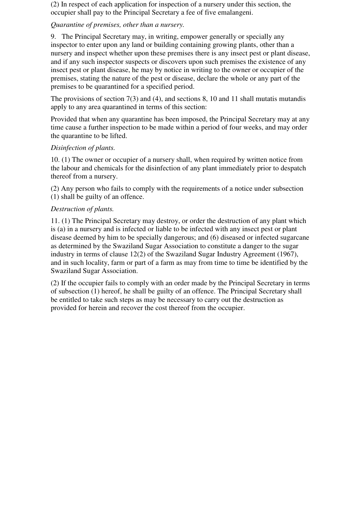(2) In respect of each application for inspection of a nursery under this section, the occupier shall pay to the Principal Secretary a fee of five emalangeni.

## *Quarantine of premises, other than a nursery.*

9. The Principal Secretary may, in writing, empower generally or specially any inspector to enter upon any land or building containing growing plants, other than a nursery and inspect whether upon these premises there is any insect pest or plant disease, and if any such inspector suspects or discovers upon such premises the existence of any insect pest or plant disease, he may by notice in writing to the owner or occupier of the premises, stating the nature of the pest or disease, declare the whole or any part of the premises to be quarantined for a specified period.

The provisions of section 7(3) and (4), and sections 8, 10 and 11 shall mutatis mutandis apply to any area quarantined in terms of this section:

Provided that when any quarantine has been imposed, the Principal Secretary may at any time cause a further inspection to be made within a period of four weeks, and may order the quarantine to be lifted.

## *Disinfection of plants.*

10. (1) The owner or occupier of a nursery shall, when required by written notice from the labour and chemicals for the disinfection of any plant immediately prior to despatch thereof from a nursery.

(2) Any person who fails to comply with the requirements of a notice under subsection (1) shall be guilty of an offence.

## *Destruction of plants.*

11. (1) The Principal Secretary may destroy, or order the destruction of any plant which is (a) in a nursery and is infected or liable to be infected with any insect pest or plant disease deemed by him to be specially dangerous; and (6) diseased or infected sugarcane as determined by the Swaziland Sugar Association to constitute a danger to the sugar industry in terms of clause 12(2) of the Swaziland Sugar Industry Agreement (1967), and in such locality, farm or part of a farm as may from time to time be identified by the Swaziland Sugar Association.

(2) If the occupier fails to comply with an order made by the Principal Secretary in terms of subsection (1) hereof, he shall be guilty of an offence. The Principal Secretary shall be entitled to take such steps as may be necessary to carry out the destruction as provided for herein and recover the cost thereof from the occupier.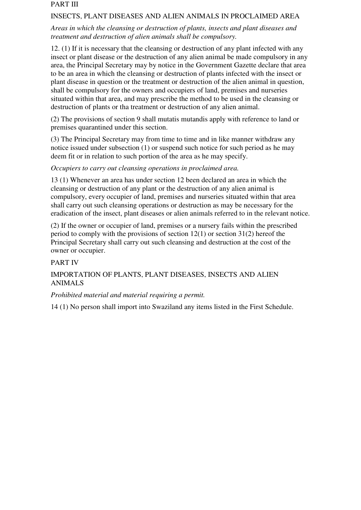#### PART III

#### INSECTS, PLANT DISEASES AND ALIEN ANIMALS IN PROCLAIMED AREA

### *Areas in which the cleansing or destruction of plants, insects and plant diseases and treatment and destruction of alien animals shall be compulsory.*

12. (1) If it is necessary that the cleansing or destruction of any plant infected with any insect or plant disease or the destruction of any alien animal be made compulsory in any area, the Principal Secretary may by notice in the Government Gazette declare that area to be an area in which the cleansing or destruction of plants infected with the insect or plant disease in question or the treatment or destruction of the alien animal in question, shall be compulsory for the owners and occupiers of land, premises and nurseries situated within that area, and may prescribe the method to be used in the cleansing or destruction of plants or tha treatment or destruction of any alien animal.

(2) The provisions of section 9 shall mutatis mutandis apply with reference to land or premises quarantined under this section.

(3) The Principal Secretary may from time to time and in like manner withdraw any notice issued under subsection (1) or suspend such notice for such period as he may deem fit or in relation to such portion of the area as he may specify.

#### *Occupiers to carry out cleansing operations in proclaimed area.*

13 (1) Whenever an area has under section 12 been declared an area in which the cleansing or destruction of any plant or the destruction of any alien animal is compulsory, every occupier of land, premises and nurseries situated within that area shall carry out such cleansing operations or destruction as may be necessary for the eradication of the insect, plant diseases or alien animals referred to in the relevant notice.

(2) If the owner or occupier of land, premises or a nursery fails within the prescribed period to comply with the provisions of section 12(1) or section 31(2) hereof the Principal Secretary shall carry out such cleansing and destruction at the cost of the owner or occupier.

## PART IV

## IMPORTATION OF PLANTS, PLANT DISEASES, INSECTS AND ALIEN ANIMALS

## *Prohibited material and material requiring a permit.*

14 (1) No person shall import into Swaziland any items listed in the First Schedule.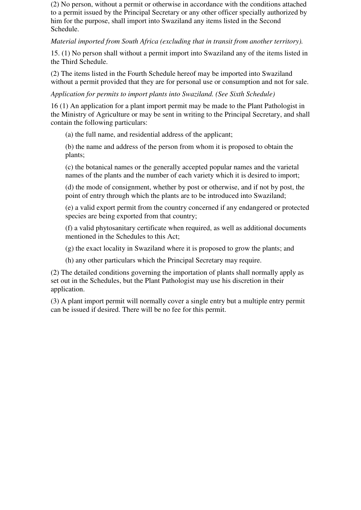(2) No person, without a permit or otherwise in accordance with the conditions attached to a permit issued by the Principal Secretary or any other officer specially authorized by him for the purpose, shall import into Swaziland any items listed in the Second Schedule.

*Material imported from South Africa (excluding that in transit from another territory).*

15. (1) No person shall without a permit import into Swaziland any of the items listed in the Third Schedule.

(2) The items listed in the Fourth Schedule hereof may be imported into Swaziland without a permit provided that they are for personal use or consumption and not for sale.

*Application for permits to import plants into Swaziland. (See Sixth Schedule)*

16 (1) An application for a plant import permit may be made to the Plant Pathologist in the Ministry of Agriculture or may be sent in writing to the Principal Secretary, and shall contain the following particulars:

(a) the full name, and residential address of the applicant;

(b) the name and address of the person from whom it is proposed to obtain the plants;

(c) the botanical names or the generally accepted popular names and the varietal names of the plants and the number of each variety which it is desired to import;

(d) the mode of consignment, whether by post or otherwise, and if not by post, the point of entry through which the plants are to be introduced into Swaziland;

(e) a valid export permit from the country concerned if any endangered or protected species are being exported from that country;

(f) a valid phytosanitary certificate when required, as well as additional documents mentioned in the Schedules to this Act;

(g) the exact locality in Swaziland where it is proposed to grow the plants; and

(h) any other particulars which the Principal Secretary may require.

(2) The detailed conditions governing the importation of plants shall normally apply as set out in the Schedules, but the Plant Pathologist may use his discretion in their application.

(3) A plant import permit will normally cover a single entry but a multiple entry permit can be issued if desired. There will be no fee for this permit.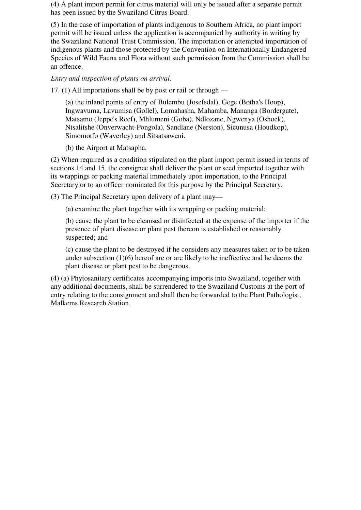(4) A plant import permit for citrus material will only be issued after a separate permit has been issued by the Swaziland Citrus Board.

(5) In the case of importation of plants indigenous to Southern Africa, no plant import permit will be issued unless the application is accompanied by authority in writing by the Swaziland National Trust Commission. The importation or attempted importation of indigenous plants and those protected by the Convention on Internationally Endangered Species of Wild Fauna and Flora without such permission from the Commission shall be an offence.

#### *Entry and inspection of plants on arrival.*

17. (1) All importations shall be by post or rail or through —

(a) the inland points of entry of Bulembu (Josefsdal), Gege (Botha's Hoop), Ingwavuma, Lavumisa (Gollel), Lomahasha, Mahamba, Mananga (Bordergate), Matsamo (Jeppe's Reef), Mhlumeni (Goba), Ndlozane, Ngwenya (Oshoek), Ntsalitshe (Onverwacht-Pongola), Sandlane (Nerston), Sicunusa (Houdkop), Simomotfo (Waverley) and Sitsatsaweni.

(b) the Airport at Matsapha.

(2) When required as a condition stipulated on the plant import permit issued in terms of sections 14 and 15, the consignee shall deliver the plant or seed imported together with its wrappings or packing material immediately upon importation, to the Principal Secretary or to an officer nominated for this purpose by the Principal Secretary.

(3) The Principal Secretary upon delivery of a plant may—

(a) examine the plant together with its wrapping or packing material;

(b) cause the plant to be cleansed or disinfected at the expense of the importer if the presence of plant disease or plant pest thereon is established or reasonably suspected; and

(c) cause the plant to be destroyed if he considers any measures taken or to be taken under subsection (1)(6) hereof are or are likely to be ineffective and he deems the plant disease or plant pest to be dangerous.

(4) (a) Phytosanitary certificates accompanying imports into Swaziland, together with any additional documents, shall be surrendered to the Swaziland Customs at the port of entry relating to the consignment and shall then be forwarded to the Plant Pathologist, Malkems Research Station.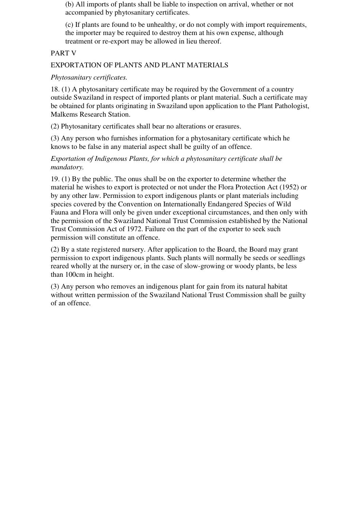(b) All imports of plants shall be liable to inspection on arrival, whether or not accompanied by phytosanitary certificates.

(c) If plants are found to be unhealthy, or do not comply with import requirements, the importer may be required to destroy them at his own expense, although treatment or re-export may be allowed in lieu thereof.

#### PART V

### EXPORTATION OF PLANTS AND PLANT MATERIALS

#### *Phytosanitary certificates.*

18. (1) A phytosanitary certificate may be required by the Government of a country outside Swaziland in respect of imported plants or plant material. Such a certificate may be obtained for plants originating in Swaziland upon application to the Plant Pathologist, Malkems Research Station.

(2) Phytosanitary certificates shall bear no alterations or erasures.

(3) Any person who furnishes information for a phytosanitary certificate which he knows to be false in any material aspect shall be guilty of an offence.

*Exportation of Indigenous Plants, for which a phytosanitary certificate shall be mandatory.* 

19. (1) By the public. The onus shall be on the exporter to determine whether the material he wishes to export is protected or not under the Flora Protection Act (1952) or by any other law. Permission to export indigenous plants or plant materials including species covered by the Convention on Internationally Endangered Species of Wild Fauna and Flora will only be given under exceptional circumstances, and then only with the permission of the Swaziland National Trust Commission established by the National Trust Commission Act of 1972. Failure on the part of the exporter to seek such permission will constitute an offence.

(2) By a state registered nursery. After application to the Board, the Board may grant permission to export indigenous plants. Such plants will normally be seeds or seedlings reared wholly at the nursery or, in the case of slow-growing or woody plants, be less than 100cm in height.

(3) Any person who removes an indigenous plant for gain from its natural habitat without written permission of the Swaziland National Trust Commission shall be guilty of an offence.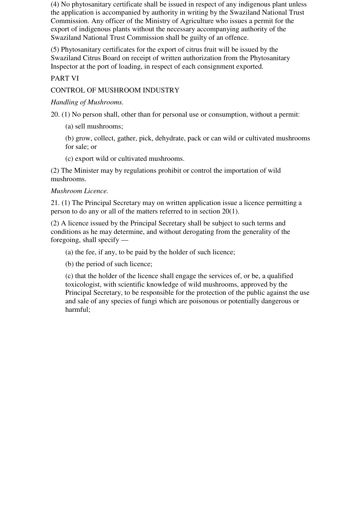(4) No phytosanitary certificate shall be issued in respect of any indigenous plant unless the application is accompanied by authority in writing by the Swaziland National Trust Commission. Any officer of the Ministry of Agriculture who issues a permit for the export of indigenous plants without the necessary accompanying authority of the Swaziland National Trust Commission shall be guilty of an offence.

(5) Phytosanitary certificates for the export of citrus fruit will be issued by the Swaziland Citrus Board on receipt of written authorization from the Phytosanitary Inspector at the port of loading, in respect of each consignment exported.

## PART VI

## CONTROL OF MUSHROOM INDUSTRY

#### *Handling of Mushrooms.*

20. (1) No person shall, other than for personal use or consumption, without a permit:

(a) sell mushrooms;

(b) grow, collect, gather, pick, dehydrate, pack or can wild or cultivated mushrooms for sale; or

(c) export wild or cultivated mushrooms.

(2) The Minister may by regulations prohibit or control the importation of wild mushrooms.

#### *Mushroom Licence.*

21. (1) The Principal Secretary may on written application issue a licence permitting a person to do any or all of the matters referred to in section 20(1).

(2) A licence issued by the Principal Secretary shall be subject to such terms and conditions as he may determine, and without derogating from the generality of the foregoing, shall specify —

(a) the fee, if any, to be paid by the holder of such licence;

(b) the period of such licence;

(c) that the holder of the licence shall engage the services of, or be, a qualified toxicologist, with scientific knowledge of wild mushrooms, approved by the Principal Secretary, to be responsible for the protection of the public against the use and sale of any species of fungi which are poisonous or potentially dangerous or harmful;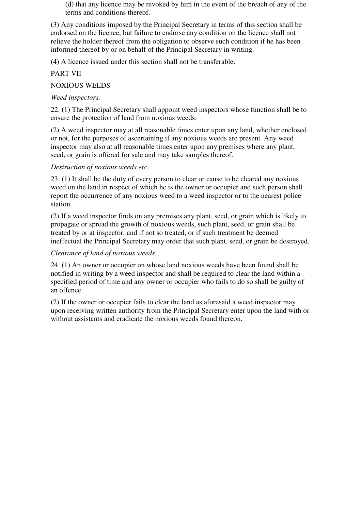(d) that any licence may be revoked by him in the event of the breach of any of the terms and conditions thereof.

(3) Any conditions imposed by the Principal Secretary in terms of this section shall be endorsed on the licence, but failure to endorse any condition on the licence shall not relieve the holder thereof from the obligation to observe such condition if he has been informed thereof by or on behalf of the Principal Secretary in writing.

(4) A licence issued under this section shall not be transferable.

### PART VII

#### NOXIOUS WEEDS

#### *Weed inspectors.*

22. (1) The Principal Secretary shall appoint weed inspectors whose function shall be to ensure the protection of land from noxious weeds.

(2) A weed inspector may at all reasonable times enter upon any land, whether enclosed or not, for the purposes of ascertaining if any noxious weeds are present. Any weed inspector may also at all reasonable times enter upon any premises where any plant, seed, or grain is offered for sale and may take samples thereof.

#### *Destruction of noxious weeds etc.*

23. (1) It shall be the duty of every person to clear or cause to be cleared any noxious weed on the land in respect of which he is the owner or occupier and such person shall report the occurrence of any noxious weed to a weed inspector or to the nearest police station.

(2) If a weed inspector finds on any premises any plant, seed, or grain which is likely to propagate or spread the growth of noxious weeds, such plant, seed, or grain shall be treated by or at inspector, and if not so treated, or if such treatment be deemed ineffectual the Principal Secretary may order that such plant, seed, or grain be destroyed.

#### *Clearance of land of noxious weeds.*

24. (1) An owner or occupier on whose land noxious weeds have been found shall be notified in writing by a weed inspector and shall be required to clear the land within a specified period of time and any owner or occupier who fails to do so shall be guilty of an offence.

(2) If the owner or occupier fails to clear the land as aforesaid a weed inspector may upon receiving written authority from the Principal Secretary enter upon the land with or without assistants and eradicate the noxious weeds found thereon.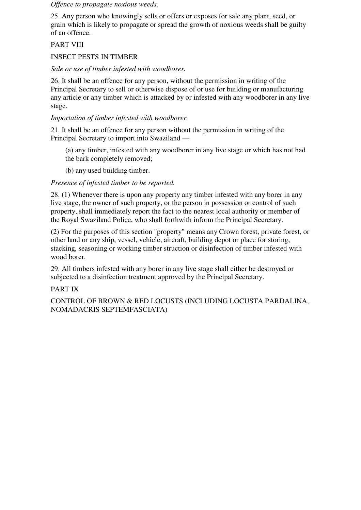*Offence to propagate noxious weeds.* 

25. Any person who knowingly sells or offers or exposes for sale any plant, seed, or grain which is likely to propagate or spread the growth of noxious weeds shall be guilty of an offence.

## PART VIII

## INSECT PESTS IN TIMBER

## *Sale or use of timber infested with woodborer.*

26. It shall be an offence for any person, without the permission in writing of the Principal Secretary to sell or otherwise dispose of or use for building or manufacturing any article or any timber which is attacked by or infested with any woodborer in any live stage.

## *Importation of timber infested with woodborer.*

21. It shall be an offence for any person without the permission in writing of the Principal Secretary to import into Swaziland —

(a) any timber, infested with any woodborer in any live stage or which has not had the bark completely removed;

(b) any used building timber.

## *Presence of infested timber to be reported.*

28. (1) Whenever there is upon any property any timber infested with any borer in any live stage, the owner of such property, or the person in possession or control of such property, shall immediately report the fact to the nearest local authority or member of the Royal Swaziland Police, who shall forthwith inform the Principal Secretary.

(2) For the purposes of this section "property" means any Crown forest, private forest, or other land or any ship, vessel, vehicle, aircraft, building depot or place for storing, stacking, seasoning or working timber struction or disinfection of timber infested with wood borer.

29. All timbers infested with any borer in any live stage shall either be destroyed or subjected to a disinfection treatment approved by the Principal Secretary.

## PART IX

CONTROL OF BROWN & RED LOCUSTS (INCLUDING LOCUSTA PARDALINA, NOMADACRIS SEPTEMFASCIATA)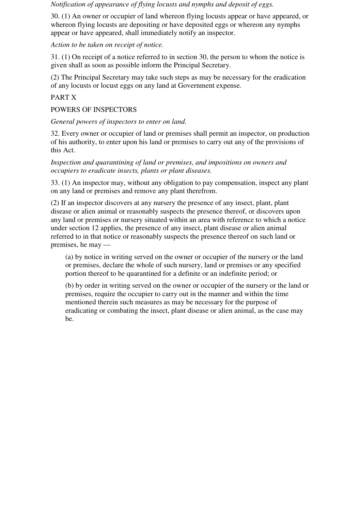*Notification of appearance of flying locusts and nymphs and deposit of eggs.*

30. (1) An owner or occupier of land whereon flying locusts appear or have appeared, or whereon flying locusts are depositing or have deposited eggs or whereon any nymphs appear or have appeared, shall immediately notify an inspector.

*Action to be taken on receipt of notice.*

31. (1) On receipt of a notice referred to in section 30, the person to whom the notice is given shall as soon as possible inform the Principal Secretary.

(2) The Principal Secretary may take such steps as may be necessary for the eradication of any locusts or locust eggs on any land at Government expense.

## PART X

POWERS OF INSPECTORS

*General powers of inspectors to enter on land.* 

32. Every owner or occupier of land or premises shall permit an inspector, on production of his authority, to enter upon his land or premises to carry out any of the provisions of this Act.

*Inspection and quarantining of land or premises, and impositions on owners and occupiers to eradicate insects, plants or plant diseases.* 

33. (1) An inspector may, without any obligation to pay compensation, inspect any plant on any land or premises and remove any plant therefrom.

(2) If an inspector discovers at any nursery the presence of any insect, plant, plant disease or alien animal or reasonably suspects the presence thereof, or discovers upon any land or premises or nursery situated within an area with reference to which a notice under section 12 applies, the presence of any insect, plant disease or alien animal referred to in that notice or reasonably suspects the presence thereof on such land or premises, he may —

(a) by notice in writing served on the owner or occupier of the nursery or the land or premises, declare the whole of such nursery, land or premises or any specified portion thereof to be quarantined for a definite or an indefinite period; or

(b) by order in writing served on the owner or occupier of the nursery or the land or premises, require the occupier to carry out in the manner and within the time mentioned therein such measures as may be necessary for the purpose of eradicating or combating the insect, plant disease or alien animal, as the case may be.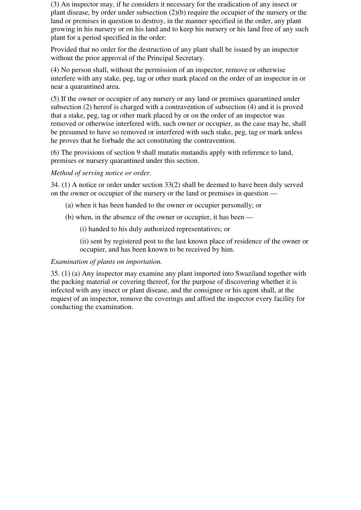(3) An inspector may, if he considers it necessary for the eradication of any insect or plant disease, by order under subsection (2)(b) require the occupier of the nursery or the land or premises in question to destroy, in the manner specified in the order, any plant growing in his nursery or on his land and to keep his nursery or his land free of any such plant for a period specified in the order:

Provided that no order for the destruction of any plant shall be issued by an inspector without the prior approval of the Principal Secretary.

(4) No person shall, without the permission of an inspector, remove or otherwise interfere with any stake, peg, tag or other mark placed on the order of an inspector in or near a quarantined area.

(5) If the owner or occupier of any nursery or any land or premises quarantined under subsection (2) hereof is charged with a contravention of subsection (4) and it is proved that a stake, peg, tag or other mark placed by or on the order of an inspector was removed or otherwise interfered with, such owner or occupier, as the case may be, shall be presumed to have so removed or interfered with such stake, peg, tag or mark unless he proves that he forbade the act constituting the contravention.

(6) The provisions of section 9 shall mutatis mutandis apply with reference to land, premises or nursery quarantined under this section.

#### *Method of serving notice or order.*

34. (1) A notice or order under section 33(2) shall be deemed to have been duly served on the owner or occupier of the nursery or the land or premises in question —

- (a) when it has been handed to the owner or occupier personally; or
- (b) when, in the absence of the owner or occupier, it has been —

(i) handed to his duly authorized representatives; or

(ii) sent by registered post to the last known place of residence of the owner or occupier, and has been known to be received by him.

#### *Examination of plants on importation.*

35. (1) (a) Any inspector may examine any plant imported into Swaziland together with the packing material or covering thereof, for the purpose of discovering whether it is infected with any insect or plant disease, and the consignee or his agent shall, at the request of an inspector, remove the coverings and afford the inspector every facility for conducting the examination.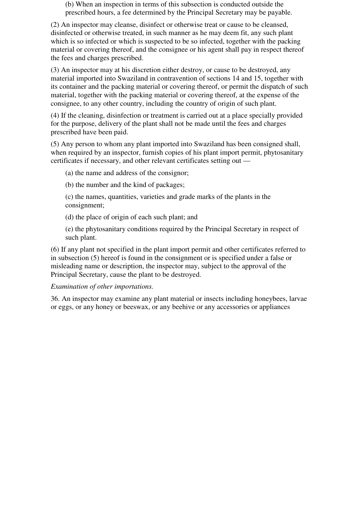(b) When an inspection in terms of this subsection is conducted outside the prescribed hours, a fee determined by the Principal Secretary may be payable.

(2) An inspector may cleanse, disinfect or otherwise treat or cause to be cleansed, disinfected or otherwise treated, in such manner as he may deem fit, any such plant which is so infected or which is suspected to be so infected, together with the packing material or covering thereof, and the consignee or his agent shall pay in respect thereof the fees and charges prescribed.

(3) An inspector may at his discretion either destroy, or cause to be destroyed, any material imported into Swaziland in contravention of sections 14 and 15, together with its container and the packing material or covering thereof, or permit the dispatch of such material, together with the packing material or covering thereof, at the expense of the consignee, to any other country, including the country of origin of such plant.

(4) If the cleaning, disinfection or treatment is carried out at a place specially provided for the purpose, delivery of the plant shall not be made until the fees and charges prescribed have been paid.

(5) Any person to whom any plant imported into Swaziland has been consigned shall, when required by an inspector, furnish copies of his plant import permit, phytosanitary certificates if necessary, and other relevant certificates setting out —

(a) the name and address of the consignor;

(b) the number and the kind of packages;

(c) the names, quantities, varieties and grade marks of the plants in the consignment;

(d) the place of origin of each such plant; and

(e) the phytosanitary conditions required by the Principal Secretary in respect of such plant.

(6) If any plant not specified in the plant import permit and other certificates referred to in subsection (5) hereof is found in the consignment or is specified under a false or misleading name or description, the inspector may, subject to the approval of the Principal Secretary, cause the plant to be destroyed.

#### *Examination of other importations.*

36. An inspector may examine any plant material or insects including honeybees, larvae or eggs, or any honey or beeswax, or any beehive or any accessories or appliances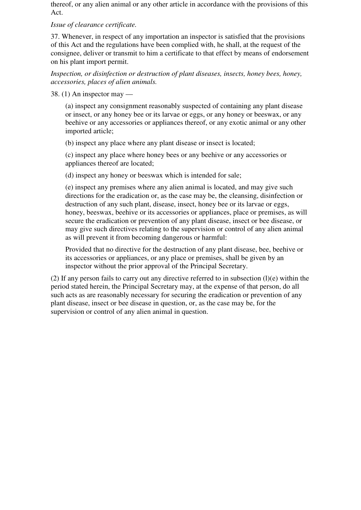thereof, or any alien animal or any other article in accordance with the provisions of this Act.

### *Issue of clearance certificate.*

37. Whenever, in respect of any importation an inspector is satisfied that the provisions of this Act and the regulations have been complied with, he shall, at the request of the consignee, deliver or transmit to him a certificate to that effect by means of endorsement on his plant import permit.

*Inspection, or disinfection or destruction of plant diseases, insects, honey bees, honey, accessories, places of alien animals.* 

38. (1) An inspector may —

(a) inspect any consignment reasonably suspected of containing any plant disease or insect, or any honey bee or its larvae or eggs, or any honey or beeswax, or any beehive or any accessories or appliances thereof, or any exotic animal or any other imported article;

(b) inspect any place where any plant disease or insect is located;

(c) inspect any place where honey bees or any beehive or any accessories or appliances thereof are located;

(d) inspect any honey or beeswax which is intended for sale;

(e) inspect any premises where any alien animal is located, and may give such directions for the eradication or, as the case may be, the cleansing, disinfection or destruction of any such plant, disease, insect, honey bee or its larvae or eggs, honey, beeswax, beehive or its accessories or appliances, place or premises, as will secure the eradication or prevention of any plant disease, insect or bee disease, or may give such directives relating to the supervision or control of any alien animal as will prevent it from becoming dangerous or harmful:

Provided that no directive for the destruction of any plant disease, bee, beehive or its accessories or appliances, or any place or premises, shall be given by an inspector without the prior approval of the Principal Secretary.

(2) If any person fails to carry out any directive referred to in subsection  $(l)(e)$  within the period stated herein, the Principal Secretary may, at the expense of that person, do all such acts as are reasonably necessary for securing the eradication or prevention of any plant disease, insect or bee disease in question, or, as the case may be, for the supervision or control of any alien animal in question.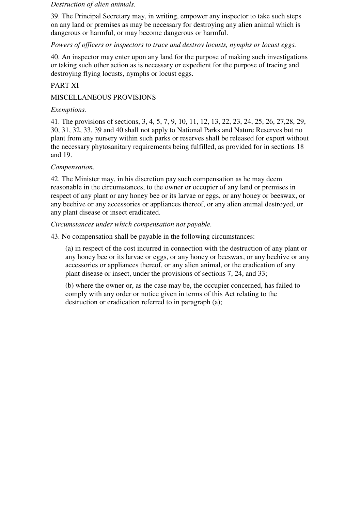#### *Destruction of alien animals.*

39. The Principal Secretary may, in writing, empower any inspector to take such steps on any land or premises as may be necessary for destroying any alien animal which is dangerous or harmful, or may become dangerous or harmful.

#### *Powers of officers or inspectors to trace and destroy locusts, nymphs or locust eggs.*

40. An inspector may enter upon any land for the purpose of making such investigations or taking such other action as is necessary or expedient for the purpose of tracing and destroying flying locusts, nymphs or locust eggs.

## PART XI

### MISCELLANEOUS PROVISIONS

#### *Exemptions.*

41. The provisions of sections, 3, 4, 5, 7, 9, 10, 11, 12, 13, 22, 23, 24, 25, 26, 27,28, 29, 30, 31, 32, 33, 39 and 40 shall not apply to National Parks and Nature Reserves but no plant from any nursery within such parks or reserves shall be released for export without the necessary phytosanitary requirements being fulfilled, as provided for in sections 18 and 19.

#### *Compensation.*

42. The Minister may, in his discretion pay such compensation as he may deem reasonable in the circumstances, to the owner or occupier of any land or premises in respect of any plant or any honey bee or its larvae or eggs, or any honey or beeswax, or any beehive or any accessories or appliances thereof, or any alien animal destroyed, or any plant disease or insect eradicated.

#### *Circumstances under which compensation not payable.*

43. No compensation shall be payable in the following circumstances:

(a) in respect of the cost incurred in connection with the destruction of any plant or any honey bee or its larvae or eggs, or any honey or beeswax, or any beehive or any accessories or appliances thereof, or any alien animal, or the eradication of any plant disease or insect, under the provisions of sections 7, 24, and 33;

(b) where the owner or, as the case may be, the occupier concerned, has failed to comply with any order or notice given in terms of this Act relating to the destruction or eradication referred to in paragraph (a);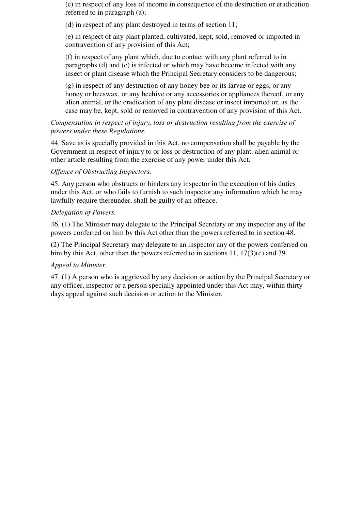(c) in respect of any loss of income in consequence of the destruction or eradication referred to in paragraph (a);

(d) in respect of any plant destroyed in terms of section 11;

(e) in respect of any plant planted, cultivated, kept, sold, removed or imported in contravention of any provision of this Act;

(f) in respect of any plant which, due to contact with any plant referred to in paragraphs (d) and (e) is infected or which may have become infected with any insect or plant disease which the Principal Secretary considers to be dangerous;

(g) in respect of any destruction of any honey bee or its larvae or eggs, or any honey or beeswax, or any beehive or any accessories or appliances thereof, or any alien animal, or the eradication of any plant disease or insect imported or, as the case may be, kept, sold or removed in contravention of any provision of this Act.

## *Compensation in respect of injury, loss or destruction resulting from the exercise of powers under these Regulations.*

44. Save as is specially provided in this Act, no compensation shall be payable by the Government in respect of injury to or loss or destruction of any plant, alien animal or other article resulting from the exercise of any power under this Act.

## *Offence of Obstructing Inspectors.*

45. Any person who obstructs or hinders any inspector in the execution of his duties under this Act, or who fails to furnish to such inspector any information which he may lawfully require thereunder, shall be guilty of an offence.

#### *Delegation of Powers.*

46. (1) The Minister may delegate to the Principal Secretary or any inspector any of the powers conferred on him by this Act other than the powers referred to in section 48.

(2) The Principal Secretary may delegate to an inspector any of the powers conferred on him by this Act, other than the powers referred to in sections 11, 17(3)(c) and 39.

## *Appeal to Minister.*

47. (1) A person who is aggrieved by any decision or action by the Principal Secretary or any officer, inspector or a person specially appointed under this Act may, within thirty days appeal against such decision or action to the Minister.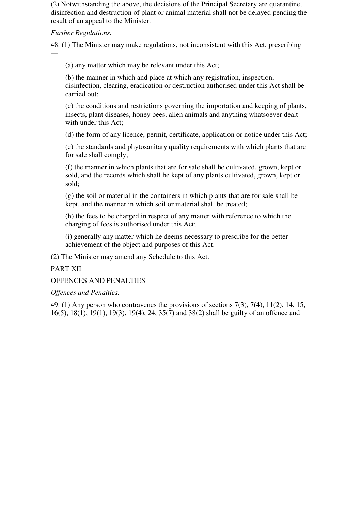(2) Notwithstanding the above, the decisions of the Principal Secretary are quarantine, disinfection and destruction of plant or animal material shall not be delayed pending the result of an appeal to the Minister.

### *Further Regulations.*

—

48. (1) The Minister may make regulations, not inconsistent with this Act, prescribing

(a) any matter which may be relevant under this Act;

(b) the manner in which and place at which any registration, inspection, disinfection, clearing, eradication or destruction authorised under this Act shall be carried out;

(c) the conditions and restrictions governing the importation and keeping of plants, insects, plant diseases, honey bees, alien animals and anything whatsoever dealt with under this Act;

(d) the form of any licence, permit, certificate, application or notice under this Act;

(e) the standards and phytosanitary quality requirements with which plants that are for sale shall comply;

(f) the manner in which plants that are for sale shall be cultivated, grown, kept or sold, and the records which shall be kept of any plants cultivated, grown, kept or sold;

(g) the soil or material in the containers in which plants that are for sale shall be kept, and the manner in which soil or material shall be treated;

(h) the fees to be charged in respect of any matter with reference to which the charging of fees is authorised under this Act;

(i) generally any matter which he deems necessary to prescribe for the better achievement of the object and purposes of this Act.

(2) The Minister may amend any Schedule to this Act.

## PART XII

OFFENCES AND PENALTIES

#### *Offences and Penalties.*

49. (1) Any person who contravenes the provisions of sections 7(3), 7(4), 11(2), 14, 15, 16(5), 18(1), 19(1), 19(3), 19(4), 24, 35(7) and 38(2) shall be guilty of an offence and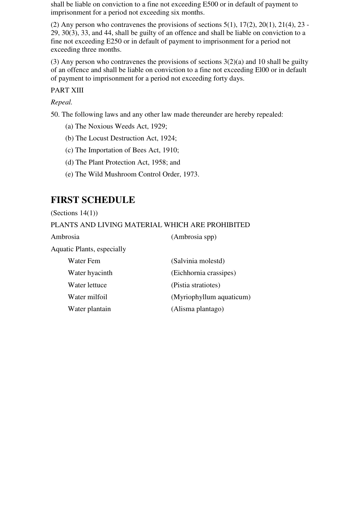shall be liable on conviction to a fine not exceeding E500 or in default of payment to imprisonment for a period not exceeding six months.

(2) Any person who contravenes the provisions of sections  $5(1)$ ,  $17(2)$ ,  $20(1)$ ,  $21(4)$ ,  $23$  -29, 30(3), 33, and 44, shall be guilty of an offence and shall be liable on conviction to a fine not exceeding E250 or in default of payment to imprisonment for a period not exceeding three months.

(3) Any person who contravenes the provisions of sections  $3(2)(a)$  and 10 shall be guilty of an offence and shall be liable on conviction to a fine not exceeding El00 or in default of payment to imprisonment for a period not exceeding forty days.

PART XIII

*Repeal.*

50. The following laws and any other law made thereunder are hereby repealed:

- (a) The Noxious Weeds Act, 1929;
- (b) The Locust Destruction Act, 1924;
- (c) The Importation of Bees Act, 1910;
- (d) The Plant Protection Act, 1958; and
- (e) The Wild Mushroom Control Order, 1973.

# **FIRST SCHEDULE**

(Sections  $14(1)$ )

## PLANTS AND LIVING MATERIAL WHICH ARE PROHIBITED

Ambrosia (Ambrosia spp)

Aquatic Plants, especially

| Water Fem      | (Salvinia molestd)       |
|----------------|--------------------------|
| Water hyacinth | (Eichhornia crassipes)   |
| Water lettuce  | (Pistia stratiotes)      |
| Water milfoil  | (Myriophyllum aquaticum) |
| Water plantain | (Alisma plantago)        |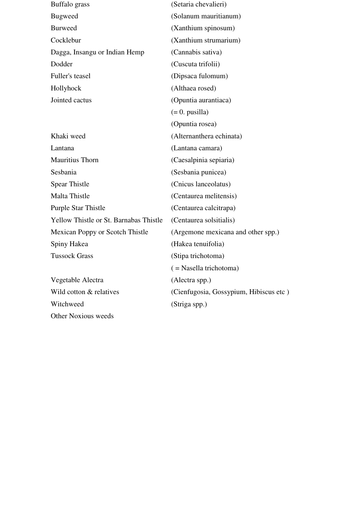| Buffalo grass                          | (Setaria chevalieri)                   |
|----------------------------------------|----------------------------------------|
| <b>Bugweed</b>                         | (Solanum mauritianum)                  |
| <b>Burweed</b>                         | (Xanthium spinosum)                    |
| Cocklebur                              | (Xanthium strumarium)                  |
| Dagga, Insangu or Indian Hemp          | (Cannabis sativa)                      |
| Dodder                                 | (Cuscuta trifolii)                     |
| Fuller's teasel                        | (Dipsaca fulomum)                      |
| Hollyhock                              | (Althaea rosed)                        |
| Jointed cactus                         | (Opuntia aurantiaca)                   |
|                                        | $(= 0. \text{ pusilla})$               |
|                                        | (Opuntia rosea)                        |
| Khaki weed                             | (Alternanthera echinata)               |
| Lantana                                | (Lantana camara)                       |
| Mauritius Thorn                        | (Caesalpinia sepiaria)                 |
| Sesbania                               | (Sesbania punicea)                     |
| Spear Thistle                          | (Cnicus lanceolatus)                   |
| Malta Thistle                          | (Centaurea melitensis)                 |
| Purple Star Thistle                    | (Centaurea calcitrapa)                 |
| Yellow Thistle or St. Barnabas Thistle | (Centaurea solsitialis)                |
| Mexican Poppy or Scotch Thistle        | (Argemone mexicana and other spp.)     |
| Spiny Hakea                            | (Hakea tenuifolia)                     |
| <b>Tussock Grass</b>                   | (Stipa trichotoma)                     |
|                                        | $($ = Nasella trichotoma)              |
| Vegetable Alectra                      | (Alectra spp.)                         |
| Wild cotton & relatives                | (Cienfugosia, Gossypium, Hibiscus etc) |
| Witchweed                              | (Striga spp.)                          |
| Other Noxious weeds                    |                                        |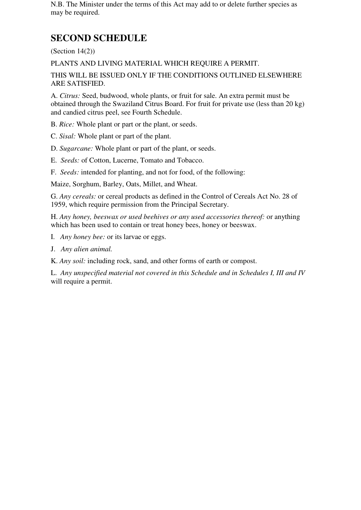N.B. The Minister under the terms of this Act may add to or delete further species as may be required.

# **SECOND SCHEDULE**

(Section 14(2))

PLANTS AND LIVING MATERIAL WHICH REQUIRE A PERMIT.

THIS WILL BE ISSUED ONLY IF THE CONDITIONS OUTLINED ELSEWHERE ARE SATISFIED.

A. *Citrus:* Seed, budwood, whole plants, or fruit for sale. An extra permit must be obtained through the Swaziland Citrus Board. For fruit for private use (less than 20 kg) and candied citrus peel, see Fourth Schedule.

B. *Rice:* Whole plant or part or the plant, or seeds.

C. *Sisal:* Whole plant or part of the plant.

D. *Sugarcane:* Whole plant or part of the plant, or seeds.

E. *Seeds:* of Cotton, Lucerne, Tomato and Tobacco.

F. *Seeds:* intended for planting, and not for food, of the following:

Maize, Sorghum, Barley, Oats, Millet, and Wheat.

G. *Any cereals:* or cereal products as defined in the Control of Cereals Act No. 28 of 1959, which require permission from the Principal Secretary.

H. *Any honey, beeswax or used beehives or any used accessories thereof:* or anything which has been used to contain or treat honey bees, honey or beeswax.

I. *Any honey bee:* or its larvae or eggs.

J. *Any alien animal.*

K. *Any soil:* including rock, sand, and other forms of earth or compost.

L. *Any unspecified material not covered in this Schedule and in Schedules I, III and IV* will require a permit.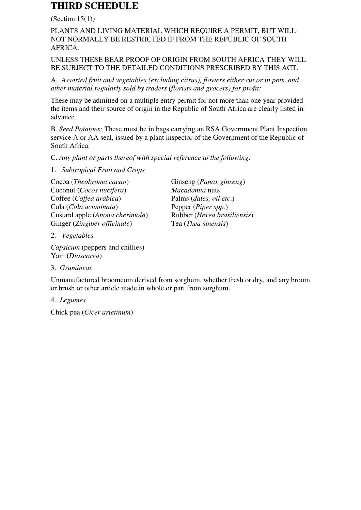# **THIRD SCHEDULE**

#### (Section  $15(1)$ )

## PLANTS AND LIVING MATERIAL WHICH REQUIRE A PERMIT, BUT WILL NOT NORMALLY BE RESTRICTED IF FROM THE REPUBLIC OF SOUTH AFRICA.

## UNLESS THESE BEAR PROOF OF ORIGIN FROM SOUTH AFRICA THEY WILL BE SUBJECT TO THE DETAILED CONDITIONS PRESCRIBED BY THIS ACT.

A. *Assorted fruit and vegetables (excluding citrus), flowers either cut or in pots, and other material regularly sold by traders (florists and grocers) for profit:*

These may be admitted on a multiple entry permit for not more than one year provided the items and their source of origin in the Republic of South Africa are clearly listed in advance.

B. *Seed Potatoes:* These must be in bags carrying an RSA Government Plant Inspection service A or AA seal, issued by a plant inspector of the Government of the Republic of South Africa.

C. *Any plant or parts thereof with special reference to the following:*

#### 1. *Subtropical Fruit and Crops*

Cocoa (*Theobroma cacao*) Ginseng (*Panax ginseng*) Coconut (*Cocos nucifera*) *Macadamia* nuts Coffee (*Coffea arabica*) Palms (*dates, oil etc*.)  $Cola (Cola$  *acuminata*) Custard apple (*Anona cherimola*) Rubber (*Hevea brasiliensis*) Ginger (*Zingiber officinale*) Tea (*Thea sinensis*)

2. *Vegetables*

*Capsicum* (peppers and chillies) Yam (*Dioscorea*)

3. *Gramineae*

Unmanufactured broomcom derived from sorghum, whether fresh or dry, and any broom or brush or other article made in whole or part from sorghum.

4. *Legumes*

Chick pea (*Cicer arietinum*)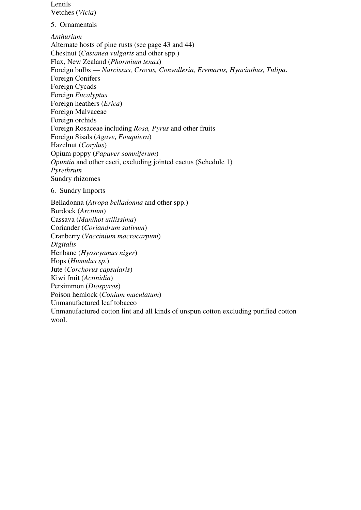Lentils Vetches (*Vicia*)

5. Ornamentals

*Anthurium* Alternate hosts of pine rusts (see page 43 and 44) Chestnut (*Castanea vulgaris* and other spp.) Flax, New Zealand (*Phormium tenax*) Foreign bulbs — *Narcissus, Crocus, Convalleria, Eremarus, Hyacinthus, Tulipa*. Foreign Conifers Foreign Cycads Foreign *Eucalyptus* Foreign heathers (*Erica*) Foreign Malvaceae Foreign orchids Foreign Rosaceae including *Rosa, Pyrus* and other fruits Foreign Sisals (*Agave*, *Fouquiera*) Hazelnut (*Corylus*) Opium poppy (*Papaver somniferum*) *Opuntia* and other cacti, excluding jointed cactus (Schedule 1) *Pyrethrum* Sundry rhizomes

6. Sundry Imports

Belladonna (*Atropa belladonna* and other spp.) Burdock (*Arctium*) Cassava (*Manihot utilissima*) Coriander (*Coriandrum sativum*) Cranberry (*Vaccinium macrocarpum*) *Digitalis* Henbane (*Hyoscyamus niger*) Hops (*Humulus sp*.) Jute (*Corchorus capsularis*) Kiwi fruit (*Actinidia*) Persimmon (*Diospyros*) Poison hemlock (*Conium maculatum*) Unmanufactured leaf tobacco Unmanufactured cotton lint and all kinds of unspun cotton excluding purified cotton wool.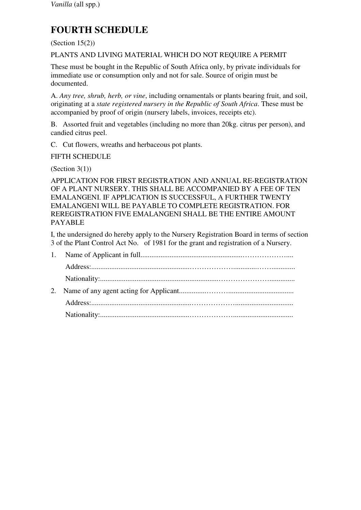# **FOURTH SCHEDULE**

 $(Section 15(2))$ 

PLANTS AND LIVING MATERIAL WHICH DO NOT REQUIRE A PERMIT

These must be bought in the Republic of South Africa only, by private individuals for immediate use or consumption only and not for sale. Source of origin must be documented.

A. *Any tree, shrub, herb, or vine*, including ornamentals or plants bearing fruit, and soil, originating at a *state registered nursery in the Republic of South Africa*. These must be accompanied by proof of origin (nursery labels, invoices, receipts etc).

B. Assorted fruit and vegetables (including no more than 20kg. citrus per person), and candied citrus peel.

C. Cut flowers, wreaths and herbaceous pot plants.

FIFTH SCHEDULE

(Section  $3(1)$ )

APPLICATION FOR FIRST REGISTRATION AND ANNUAL RE-REGISTRATION OF A PLANT NURSERY. THIS SHALL BE ACCOMPANIED BY A FEE OF TEN EMALANGENI. IF APPLICATION IS SUCCESSFUL, A FURTHER TWENTY EMALANGENI WILL BE PAYABLE TO COMPLETE REGISTRATION. FOR REREGISTRATION FIVE EMALANGENI SHALL BE THE ENTIRE AMOUNT PAYABLE

I, the undersigned do hereby apply to the Nursery Registration Board in terms of section 3 of the Plant Control Act No. of 1981 for the grant and registration of a Nursery.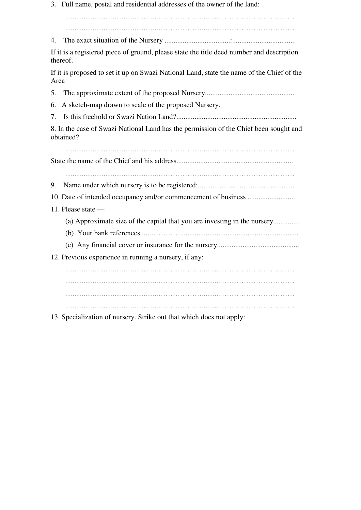3. Full name, postal and residential addresses of the owner of the land:

...................................................………………...........…………………………

4. The exact situation of the Nursery ....................................:..................................

...................................................………………...........…………………………

If it is a registered piece of ground, please state the title deed number and description thereof.

If it is proposed to set it up on Swazi National Land, state the name of the Chief of the Area

5. The approximate extent of the proposed Nursery.................................................

6. A sketch-map drawn to scale of the proposed Nursery.

7. Is this freehold or Swazi Nation Land?..................................................................

8. In the case of Swazi National Land has the permission of the Chief been sought and obtained?

...................................................………………...........…………………………

State the name of the Chief and his address................................................................

...................................................………………...........…………………………

9. Name under which nursery is to be registered:.....................................................

10. Date of intended occupancy and/or commencement of business ..........................

- 11. Please state
	- (a) Approximate size of the capital that you are investing in the nursery..............
	- (b) Your bank references......………….................................................................
	- (c) Any financial cover or insurance for the nursery.............................................

12. Previous experience in running a nursery, if any:

 ...................................................………………...........………………………… ...................................................………………...........………………………… ...................................................………………...........………………………… ...................................................………………...........…………………………

13. Specialization of nursery. Strike out that which does not apply: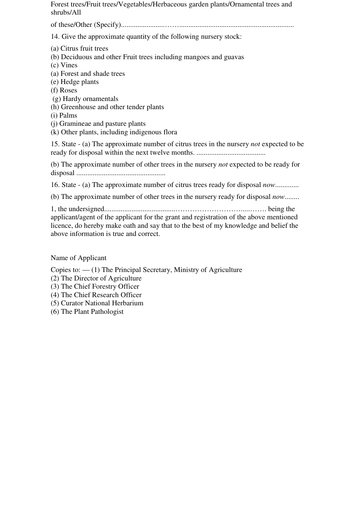Forest trees/Fruit trees/Vegetables/Herbaceous garden plants/Ornamental trees and shrubs/All

of these/Other (Specify)........................……...............................................................

14. Give the approximate quantity of the following nursery stock:

- (a) Citrus fruit trees
- (b) Deciduous and other Fruit trees including mangoes and guavas
- (c) Vines
- (a) Forest and shade trees
- (e) Hedge plants
- (f) Roses
- (g) Hardy ornamentals
- (h) Greenhouse and other tender plants
- (i) Palms
- (j) Gramineae and pasture plants
- (k) Other plants, including indigenous flora

15. State - (a) The approximate number of citrus trees in the nursery *not* expected to be ready for disposal within the next twelve months. ......................................

(b) The approximate number of other trees in the nursery *not* expected to be ready for disposal .................................................

16. State - (a) The approximate number of citrus trees ready for disposal *now*.............

(b) The approximate number of other trees in the nursery ready for disposal *now*........

1, the undersigned.......................................……………………….....……. being the applicant/agent of the applicant for the grant and registration of the above mentioned licence, do hereby make oath and say that to the best of my knowledge and belief the above information is true and correct.

## Name of Applicant

Copies to:  $-$  (1) The Principal Secretary, Ministry of Agriculture

- (2) The Director of Agriculture
- (3) The Chief Forestry Officer
- (4) The Chief Research Officer
- (5) Curator National Herbarium
- (6) The Plant Pathologist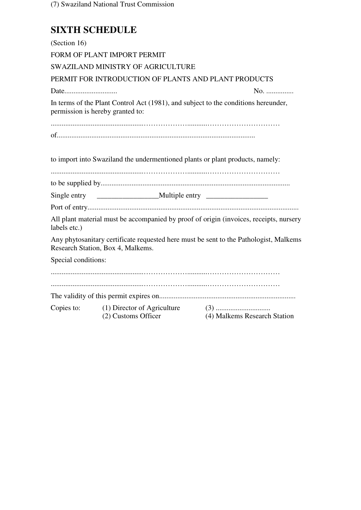(7) Swaziland National Trust Commission

# **SIXTH SCHEDULE**

| (Section 16)                                                                  |                                                                                    |                                                                                        |  |  |
|-------------------------------------------------------------------------------|------------------------------------------------------------------------------------|----------------------------------------------------------------------------------------|--|--|
|                                                                               | FORM OF PLANT IMPORT PERMIT                                                        |                                                                                        |  |  |
|                                                                               | SWAZILAND MINISTRY OF AGRICULTURE                                                  |                                                                                        |  |  |
|                                                                               | PERMIT FOR INTRODUCTION OF PLANTS AND PLANT PRODUCTS                               |                                                                                        |  |  |
|                                                                               |                                                                                    | No.                                                                                    |  |  |
| permission is hereby granted to:                                              | In terms of the Plant Control Act (1981), and subject to the conditions hereunder, |                                                                                        |  |  |
|                                                                               |                                                                                    |                                                                                        |  |  |
| to import into Swaziland the undermentioned plants or plant products, namely: |                                                                                    |                                                                                        |  |  |
|                                                                               |                                                                                    |                                                                                        |  |  |
|                                                                               |                                                                                    |                                                                                        |  |  |
|                                                                               |                                                                                    |                                                                                        |  |  |
| labels etc.)                                                                  |                                                                                    | All plant material must be accompanied by proof of origin (invoices, receipts, nursery |  |  |
|                                                                               | Research Station, Box 4, Malkems.                                                  | Any phytosanitary certificate requested here must be sent to the Pathologist, Malkems  |  |  |
| Special conditions:                                                           |                                                                                    |                                                                                        |  |  |
|                                                                               |                                                                                    |                                                                                        |  |  |
|                                                                               |                                                                                    |                                                                                        |  |  |
|                                                                               | Copies to: (1) Director of Agriculture<br>(2) Customs Officer                      | (4) Malkems Research Station                                                           |  |  |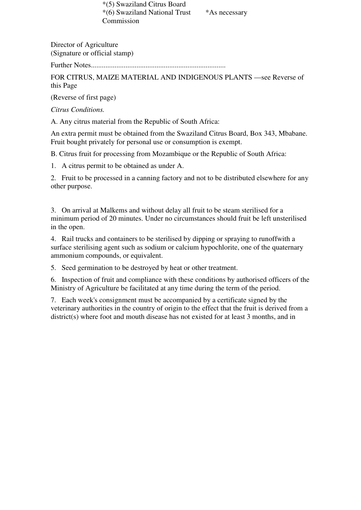\*(5) Swaziland Citrus Board \*(6) Swaziland National Trust \*As necessary Commission

Director of Agriculture (Signature or official stamp)

Further Notes..........................................................................

FOR CITRUS, MAIZE MATERIAL AND INDIGENOUS PLANTS —see Reverse of this Page

(Reverse of first page)

*Citrus Conditions.* 

A. Any citrus material from the Republic of South Africa:

An extra permit must be obtained from the Swaziland Citrus Board, Box 343, Mbabane. Fruit bought privately for personal use or consumption is exempt.

B. Citrus fruit for processing from Mozambique or the Republic of South Africa:

1. A citrus permit to be obtained as under A.

2. Fruit to be processed in a canning factory and not to be distributed elsewhere for any other purpose.

3. On arrival at Malkems and without delay all fruit to be steam sterilised for a minimum period of 20 minutes. Under no circumstances should fruit be left unsterilised in the open.

4. Rail trucks and containers to be sterilised by dipping or spraying to runoffwith a surface sterilising agent such as sodium or calcium hypochlorite, one of the quaternary ammonium compounds, or equivalent.

5. Seed germination to be destroyed by heat or other treatment.

6. Inspection of fruit and compliance with these conditions by authorised officers of the Ministry of Agriculture be facilitated at any time during the term of the period.

7. Each week's consignment must be accompanied by a certificate signed by the veterinary authorities in the country of origin to the effect that the fruit is derived from a district(s) where foot and mouth disease has not existed for at least 3 months, and in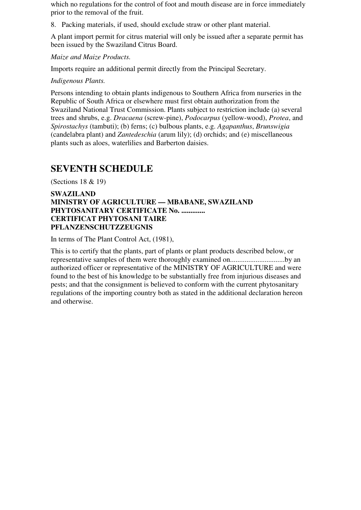which no regulations for the control of foot and mouth disease are in force immediately prior to the removal of the fruit.

8. Packing materials, if used, should exclude straw or other plant material.

A plant import permit for citrus material will only be issued after a separate permit has been issued by the Swaziland Citrus Board.

*Maize and Maize Products.*

Imports require an additional permit directly from the Principal Secretary.

#### *Indigenous Plants.*

Persons intending to obtain plants indigenous to Southern Africa from nurseries in the Republic of South Africa or elsewhere must first obtain authorization from the Swaziland National Trust Commission. Plants subject to restriction include (a) several trees and shrubs, e.g. *Dracaena* (screw-pine), *Podocarpus* (yellow-wood), *Protea*, and *Spirostachys* (tambuti); (b) ferns; (c) bulbous plants, e.g. *Agapanthus*, *Brunswigia* (candelabra plant) and *Zantedeschia* (arum lily); (d) orchids; and (e) miscellaneous plants such as aloes, waterlilies and Barberton daisies.

## **SEVENTH SCHEDULE**

(Sections 18 & 19)

### **SWAZILAND MINISTRY OF AGRICULTURE — MBABANE, SWAZILAND PHYTOSANITARY CERTIFICATE No. ............. CERTIFICAT PHYTOSANI TAIRE PFLANZENSCHUTZZEUGNIS**

In terms of The Plant Control Act, (1981),

This is to certify that the plants, part of plants or plant products described below, or representative samples of them were thoroughly examined on..............................by an authorized officer or representative of the MINISTRY OF AGRICULTURE and were found to the best of his knowledge to be substantially free from injurious diseases and pests; and that the consignment is believed to conform with the current phytosanitary regulations of the importing country both as stated in the additional declaration hereon and otherwise.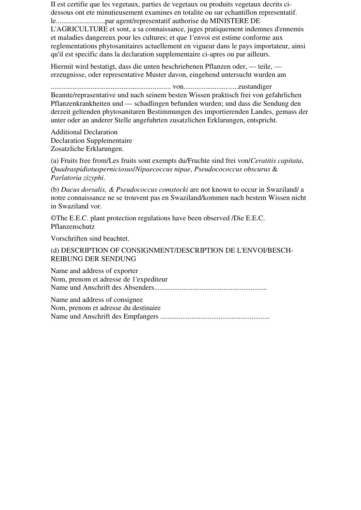II est certifie que les vegetaux, parties de vegetaux ou produits vegetaux decrits cidessous ont ete minutieusement examines en totalite ou sur echantillon representatif. le...........................par agent/representatif authorise du MINISTERE DE L'AGRICULTURE et sont, a sa connaissance, juges pratiquement indemnes d'ennemis et maladies dangereux pour les cultures; et que 1'envoi est estime conforme aux reglementations phytosanitaires actuellement en vigueur dans le pays importateur, ainsi qu'il est specific dans la declaration supplementaire ci-apres ou par ailleurs.

Hiermit wird bestatigt, dass die unten beschriebenen Pflanzen oder, — teile, erzeugnisse, oder representative Muster davon, eingehend untersucht wurden am

.................................................................. von..............................zustandiger Beamte/reprasentative und nach seinem besten Wissen praktisch frei von gefahrlichen Pflanzenkrankheiten und — schadlingen befunden wurden; und dass die Sendung den derzeit geltenden phytosanitaren Bestimmungen des importierenden Landes, gemass der unter oder an anderer Stelle angefuhrten zusatzlichen Erklarungen, entspricht.

Additional Declaration Declaration Supplementaire Zosatzliche Erklarungen.

(a) Fruits free from/Les fruits sont exempts du/Fruchte sind frei von/*Ceratitis capitata*, *Quadraspidiotusperniciosus*/*Nipaecoccus nipae*, *Pseudocococcus obscurus* & *Parlatoria zizyphi*.

(b) *Dacus dorsalis, & Pseudococcus comstocki* are not known to occur in Swaziland/ a notre connaissance ne se trouvent pas en Swaziland/kommen nach bestem Wissen nicht in Swaziland vor.

©The E.E.C. plant protection regulations have been observed /Die E.E.C. Pflanzenschutz

Vorschriften sind beachtet.

(d) DESCRIPTION OF CONSIGNMENT/DESCRIPTION DE L'ENVOI/BESCH-REIBUNG DER SENDUNG

Name and address of exporter Nom, prenom et adresse de 1'expediteur Name und Anschrift des Absenders..............................................................

Name and address of consignee Nom, prenom et adresse du destinaire Name und Anschrift des Empfangers ............................................................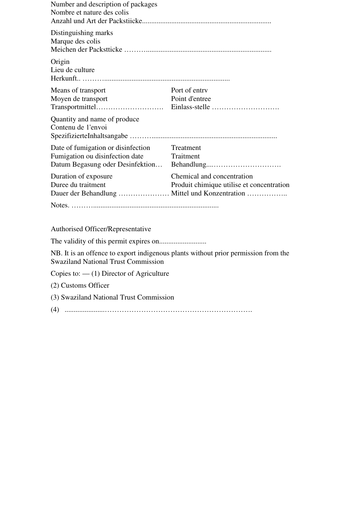| Number and description of packages<br>Nombre et nature des colis |                                           |
|------------------------------------------------------------------|-------------------------------------------|
| Distinguishing marks<br>Marque des colis                         |                                           |
| Origin<br>Lieu de culture                                        |                                           |
| Means of transport                                               | Port of entry                             |
| Moyen de transport                                               | Point d'entree                            |
|                                                                  |                                           |
| Quantity and name of produce<br>Contenu de 1'envoi               |                                           |
| Date of fumigation or disinfection                               | Treatment                                 |
| Fumigation ou disinfection date                                  | Traitment                                 |
| Datum Begasung oder Desinfektion                                 |                                           |
| Duration of exposure                                             | Chemical and concentration                |
| Duree du traitment                                               | Produit chimique utilise et concentration |
| Dauer der Behandlung  Mittel und Konzentration                   |                                           |
|                                                                  |                                           |

Authorised Officer/Representative

The validity of this permit expires on..........................

NB. It is an offence to export indigenous plants without prior permission from the Swaziland National Trust Commission

Copies to: — (1) Director of Agriculture

(2) Customs Officer

(3) Swaziland National Trust Commission

(4) ......................…………………………………………………….